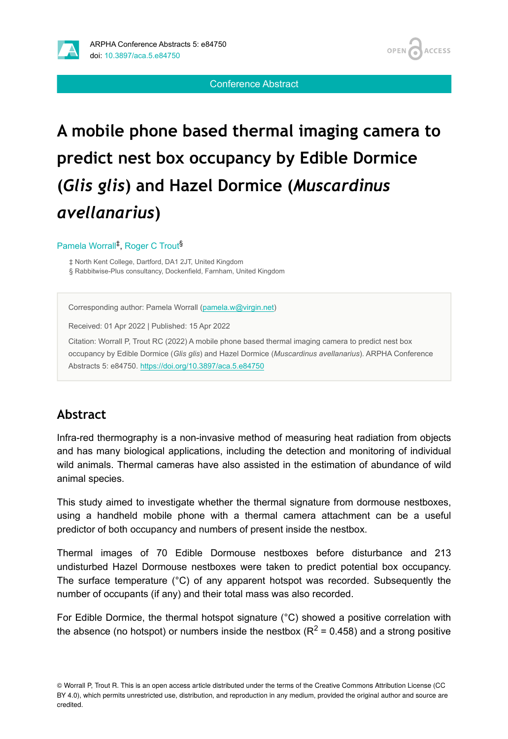



Conference Abstract

# **A mobile phone based thermal imaging camera to predict nest box occupancy by Edible Dormice (***Glis glis***) and Hazel Dormice (***Muscardinus avellanarius***)**

#### Pamela Worrall<sup>‡</sup>, Roger C Trout<sup>§</sup>

‡ North Kent College, Dartford, DA1 2JT, United Kingdom § Rabbitwise-Plus consultancy, Dockenfield, Farnham, United Kingdom

Corresponding author: Pamela Worrall ([pamela.w@virgin.net\)](mailto:pamela.w@virgin.net)

Received: 01 Apr 2022 | Published: 15 Apr 2022

Citation: Worrall P, Trout RC (2022) A mobile phone based thermal imaging camera to predict nest box occupancy by Edible Dormice (*Glis glis*) and Hazel Dormice (*Muscardinus avellanarius*). ARPHA Conference Abstracts 5: e84750.<https://doi.org/10.3897/aca.5.e84750>

#### **Abstract**

Infra-red thermography is a non-invasive method of measuring heat radiation from objects and has many biological applications, including the detection and monitoring of individual wild animals. Thermal cameras have also assisted in the estimation of abundance of wild animal species.

This study aimed to investigate whether the thermal signature from dormouse nestboxes, using a handheld mobile phone with a thermal camera attachment can be a useful predictor of both occupancy and numbers of present inside the nestbox.

Thermal images of 70 Edible Dormouse nestboxes before disturbance and 213 undisturbed Hazel Dormouse nestboxes were taken to predict potential box occupancy. The surface temperature (°C) of any apparent hotspot was recorded. Subsequently the number of occupants (if any) and their total mass was also recorded.

For Edible Dormice, the thermal hotspot signature (°C) showed a positive correlation with the absence (no hotspot) or numbers inside the nestbox ( $R^2$  = 0.458) and a strong positive